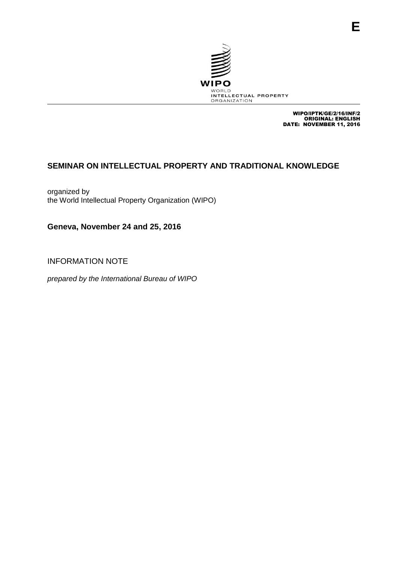

WIPO/IPTK/GE/2/16/INF/2 ORIGINAL: ENGLISH DATE: NOVEMBER 11, 2016

# **SEMINAR ON INTELLECTUAL PROPERTY AND TRADITIONAL KNOWLEDGE**

organized by the World Intellectual Property Organization (WIPO)

**Geneva, November 24 and 25, 2016**

INFORMATION NOTE

*prepared by the International Bureau of WIPO*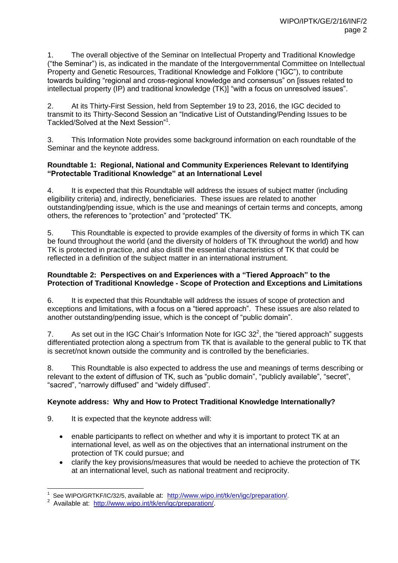1. The overall objective of the Seminar on Intellectual Property and Traditional Knowledge ("the Seminar") is, as indicated in the mandate of the Intergovernmental Committee on Intellectual Property and Genetic Resources, Traditional Knowledge and Folklore ("IGC"), to contribute towards building "regional and cross-regional knowledge and consensus" on [issues related to intellectual property (IP) and traditional knowledge (TK)] "with a focus on unresolved issues".

2. At its Thirty-First Session, held from September 19 to 23, 2016, the IGC decided to transmit to its Thirty-Second Session an "Indicative List of Outstanding/Pending Issues to be Tackled/Solved at the Next Session"<sup>1</sup> .

3. This Information Note provides some background information on each roundtable of the Seminar and the keynote address.

### **Roundtable 1: Regional, National and Community Experiences Relevant to Identifying "Protectable Traditional Knowledge" at an International Level**

4. It is expected that this Roundtable will address the issues of subject matter (including eligibility criteria) and, indirectly, beneficiaries. These issues are related to another outstanding/pending issue, which is the use and meanings of certain terms and concepts, among others, the references to "protection" and "protected" TK.

5. This Roundtable is expected to provide examples of the diversity of forms in which TK can be found throughout the world (and the diversity of holders of TK throughout the world) and how TK is protected in practice, and also distill the essential characteristics of TK that could be reflected in a definition of the subject matter in an international instrument.

### **Roundtable 2: Perspectives on and Experiences with a "Tiered Approach" to the Protection of Traditional Knowledge - Scope of Protection and Exceptions and Limitations**

6. It is expected that this Roundtable will address the issues of scope of protection and exceptions and limitations, with a focus on a "tiered approach". These issues are also related to another outstanding/pending issue, which is the concept of "public domain".

7. As set out in the IGC Chair's Information Note for IGC 32<sup>2</sup>, the "tiered approach" suggests differentiated protection along a spectrum from TK that is available to the general public to TK that is secret/not known outside the community and is controlled by the beneficiaries.

8. This Roundtable is also expected to address the use and meanings of terms describing or relevant to the extent of diffusion of TK, such as "public domain", "publicly available", "secret", "sacred", "narrowly diffused" and "widely diffused".

## **Keynote address: Why and How to Protect Traditional Knowledge Internationally?**

9. It is expected that the keynote address will:

- enable participants to reflect on whether and why it is important to protect TK at an international level, as well as on the objectives that an international instrument on the protection of TK could pursue; and
- clarify the key provisions/measures that would be needed to achieve the protection of TK at an international level, such as national treatment and reciprocity.

 $\overline{a}$ 1 See WIPO/GRTKF/IC/32/5, available at: <http://www.wipo.int/tk/en/igc/preparation/>.

<sup>&</sup>lt;sup>2</sup> Available at: http://www.wipo.int/tk/en/igc/preparation/